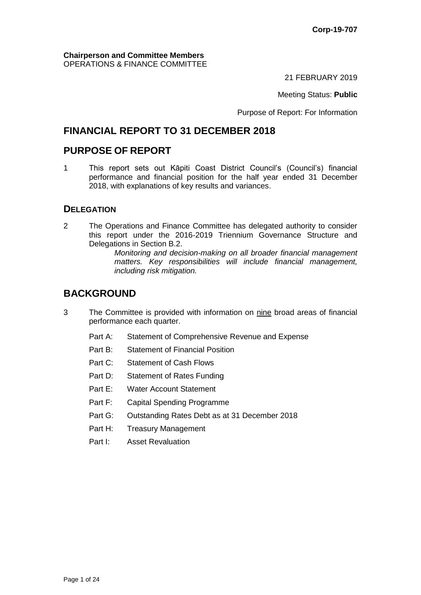#### **Chairperson and Committee Members** OPERATIONS & FINANCE COMMITTEE

21 FEBRUARY 2019

Meeting Status: **Public**

Purpose of Report: For Information

# **FINANCIAL REPORT TO 31 DECEMBER 2018**

## **PURPOSE OF REPORT**

1 This report sets out Kāpiti Coast District Council's (Council's) financial performance and financial position for the half year ended 31 December 2018, with explanations of key results and variances.

### **DELEGATION**

2 The Operations and Finance Committee has delegated authority to consider this report under the 2016-2019 Triennium Governance Structure and Delegations in Section B.2.

> *Monitoring and decision-making on all broader financial management matters. Key responsibilities will include financial management, including risk mitigation.*

# **BACKGROUND**

- 3 The Committee is provided with information on nine broad areas of financial performance each quarter.
	- Part A: Statement of Comprehensive Revenue and Expense
	- Part B: Statement of Financial Position
	- Part C: Statement of Cash Flows
	- Part D: Statement of Rates Funding
	- Part E: Water Account Statement
	- Part F: Capital Spending Programme
	- Part G: Outstanding Rates Debt as at 31 December 2018
	- Part H: Treasury Management
	- Part I: Asset Revaluation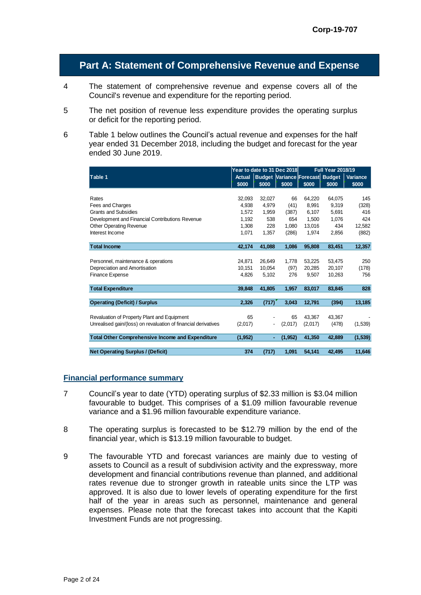### **Part A: Statement of Comprehensive Revenue and Expense**

- 4 The statement of comprehensive revenue and expense covers all of the Council's revenue and expenditure for the reporting period.
- 5 The net position of revenue less expenditure provides the operating surplus or deficit for the reporting period.
- 6 Table 1 below outlines the Council's actual revenue and expenses for the half year ended 31 December 2018, including the budget and forecast for the year ended 30 June 2019.

|                                                                | Year to date to 31 Dec 2018 |        |                                 | <b>Full Year 2018/19</b> |        |          |
|----------------------------------------------------------------|-----------------------------|--------|---------------------------------|--------------------------|--------|----------|
| Table 1                                                        | Actual                      |        | Budget Variance Forecast Budget |                          |        | Variance |
|                                                                | \$000                       | \$000  | \$000                           | \$000                    | \$000  | \$000    |
|                                                                |                             |        |                                 |                          |        |          |
| Rates                                                          | 32.093                      | 32,027 | 66                              | 64.220                   | 64,075 | 145      |
| Fees and Charges                                               | 4.938                       | 4.979  | (41)                            | 8.991                    | 9.319  | (328)    |
| <b>Grants and Subsidies</b>                                    | 1.572                       | 1,959  | (387)                           | 6,107                    | 5,691  | 416      |
| Development and Financial Contributions Revenue                | 1,192                       | 538    | 654                             | 1,500                    | 1,076  | 424      |
| <b>Other Operating Revenue</b>                                 | 1.308                       | 228    | 1.080                           | 13,016                   | 434    | 12.582   |
| Interest Income                                                | 1,071                       | 1,357  | (286)                           | 1,974                    | 2,856  | (882)    |
|                                                                |                             |        |                                 |                          |        |          |
| <b>Total Income</b>                                            | 42,174                      | 41,088 | 1,086                           | 95,808                   | 83,451 | 12,357   |
|                                                                |                             |        |                                 |                          |        |          |
| Personnel, maintenance & operations                            | 24,871                      | 26,649 | 1.778                           | 53,225                   | 53,475 | 250      |
| Depreciation and Amortisation                                  | 10,151                      | 10,054 | (97)                            | 20,285                   | 20,107 | (178)    |
| Finance Expense                                                | 4.826                       | 5.102  | 276                             | 9,507                    | 10,263 | 756      |
|                                                                |                             |        |                                 |                          |        |          |
| <b>Total Expenditure</b>                                       | 39,848                      | 41,805 | 1,957                           | 83,017                   | 83,845 | 828      |
|                                                                |                             |        |                                 |                          |        |          |
| <b>Operating (Deficit) / Surplus</b>                           | 2,326                       | (717)  | 3,043                           | 12,791                   | (394)  | 13,185   |
|                                                                |                             |        |                                 |                          |        |          |
| Revaluation of Property Plant and Equipment                    | 65                          |        | 65                              | 43.367                   | 43,367 |          |
| Unrealised gain/(loss) on revaluation of financial derivatives | (2,017)                     |        | (2,017)                         | (2,017)                  | (478)  | (1,539)  |
| <b>Total Other Comprehensive Income and Expenditure</b>        | (1, 952)                    |        | (1, 952)                        | 41,350                   | 42,889 | (1,539)  |
|                                                                |                             |        |                                 |                          |        |          |
| <b>Net Operating Surplus / (Deficit)</b>                       | 374                         | (717)  | 1,091                           | 54,141                   | 42,495 | 11,646   |

#### **Financial performance summary**

- 7 Council's year to date (YTD) operating surplus of \$2.33 million is \$3.04 million favourable to budget. This comprises of a \$1.09 million favourable revenue variance and a \$1.96 million favourable expenditure variance.
- 8 The operating surplus is forecasted to be \$12.79 million by the end of the financial year, which is \$13.19 million favourable to budget.
- 9 The favourable YTD and forecast variances are mainly due to vesting of assets to Council as a result of subdivision activity and the expressway, more development and financial contributions revenue than planned, and additional rates revenue due to stronger growth in rateable units since the LTP was approved. It is also due to lower levels of operating expenditure for the first half of the year in areas such as personnel, maintenance and general expenses. Please note that the forecast takes into account that the Kapiti Investment Funds are not progressing.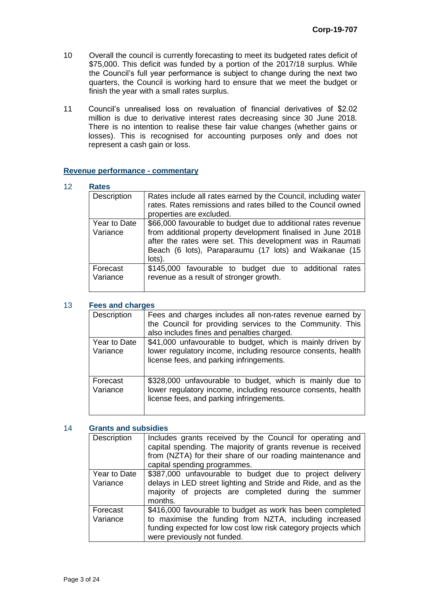- 10 Overall the council is currently forecasting to meet its budgeted rates deficit of \$75,000. This deficit was funded by a portion of the 2017/18 surplus. While the Council's full year performance is subject to change during the next two quarters, the Council is working hard to ensure that we meet the budget or finish the year with a small rates surplus.
- 11 Council's unrealised loss on revaluation of financial derivatives of \$2.02 million is due to derivative interest rates decreasing since 30 June 2018. There is no intention to realise these fair value changes (whether gains or losses). This is recognised for accounting purposes only and does not represent a cash gain or loss.

#### **Revenue performance - commentary**

| Description              | Rates include all rates earned by the Council, including water<br>rates. Rates remissions and rates billed to the Council owned<br>properties are excluded.                                                                                                   |
|--------------------------|---------------------------------------------------------------------------------------------------------------------------------------------------------------------------------------------------------------------------------------------------------------|
| Year to Date<br>Variance | \$66,000 favourable to budget due to additional rates revenue<br>from additional property development finalised in June 2018<br>after the rates were set. This development was in Raumati<br>Beach (6 lots), Paraparaumu (17 lots) and Waikanae (15<br>lots). |
| Forecast<br>Variance     | \$145,000 favourable to budget due to additional<br>rates<br>revenue as a result of stronger growth.                                                                                                                                                          |

#### 13 **Fees and charges**

| Description              | Fees and charges includes all non-rates revenue earned by<br>the Council for providing services to the Community. This<br>also includes fines and penalties charged.   |
|--------------------------|------------------------------------------------------------------------------------------------------------------------------------------------------------------------|
| Year to Date<br>Variance | \$41,000 unfavourable to budget, which is mainly driven by<br>lower regulatory income, including resource consents, health<br>license fees, and parking infringements. |
| Forecast<br>Variance     | \$328,000 unfavourable to budget, which is mainly due to<br>lower regulatory income, including resource consents, health<br>license fees, and parking infringements.   |

#### 14 **Grants and subsidies**

| <b>Description</b>       | Includes grants received by the Council for operating and<br>capital spending. The majority of grants revenue is received<br>from (NZTA) for their share of our roading maintenance and<br>capital spending programmes. |  |
|--------------------------|-------------------------------------------------------------------------------------------------------------------------------------------------------------------------------------------------------------------------|--|
| Year to Date<br>Variance | \$387,000 unfavourable to budget due to project delivery<br>delays in LED street lighting and Stride and Ride, and as the<br>majority of projects are completed during the summer<br>months.                            |  |
| Forecast<br>Variance     | \$416,000 favourable to budget as work has been completed<br>to maximise the funding from NZTA, including increased<br>funding expected for low cost low risk category projects which<br>were previously not funded.    |  |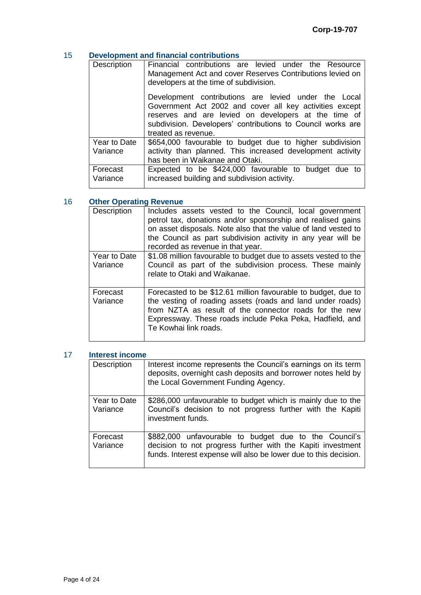### 15 **Development and financial contributions**

| Description  | Financial contributions are levied under the Resource<br>Management Act and cover Reserves Contributions levied on<br>developers at the time of subdivision.                                                                                                  |
|--------------|---------------------------------------------------------------------------------------------------------------------------------------------------------------------------------------------------------------------------------------------------------------|
|              | Development contributions are levied under the Local<br>Government Act 2002 and cover all key activities except<br>reserves and are levied on developers at the time of<br>subdivision. Developers' contributions to Council works are<br>treated as revenue. |
| Year to Date | \$654,000 favourable to budget due to higher subdivision                                                                                                                                                                                                      |
| Variance     | activity than planned. This increased development activity                                                                                                                                                                                                    |
|              | has been in Waikanae and Otaki.                                                                                                                                                                                                                               |
| Forecast     | Expected to be \$424,000 favourable to budget due to                                                                                                                                                                                                          |
| Variance     | increased building and subdivision activity.                                                                                                                                                                                                                  |

### 16 **Other Operating Revenue**

| Description              | Includes assets vested to the Council, local government<br>petrol tax, donations and/or sponsorship and realised gains<br>on asset disposals. Note also that the value of land vested to<br>the Council as part subdivision activity in any year will be<br>recorded as revenue in that year. |
|--------------------------|-----------------------------------------------------------------------------------------------------------------------------------------------------------------------------------------------------------------------------------------------------------------------------------------------|
| Year to Date<br>Variance | \$1.08 million favourable to budget due to assets vested to the<br>Council as part of the subdivision process. These mainly<br>relate to Otaki and Waikanae.                                                                                                                                  |
| Forecast<br>Variance     | Forecasted to be \$12.61 million favourable to budget, due to<br>the vesting of roading assets (roads and land under roads)<br>from NZTA as result of the connector roads for the new<br>Expressway. These roads include Peka Peka, Hadfield, and<br>Te Kowhai link roads.                    |

#### 17 **Interest income**

| Description              | Interest income represents the Council's earnings on its term<br>deposits, overnight cash deposits and borrower notes held by<br>the Local Government Funding Agency.                    |
|--------------------------|------------------------------------------------------------------------------------------------------------------------------------------------------------------------------------------|
| Year to Date<br>Variance | \$286,000 unfavourable to budget which is mainly due to the<br>Council's decision to not progress further with the Kapiti<br>investment funds.                                           |
| Forecast<br>Variance     | \$882,000 unfavourable to budget due to the Council's<br>decision to not progress further with the Kapiti investment<br>funds. Interest expense will also be lower due to this decision. |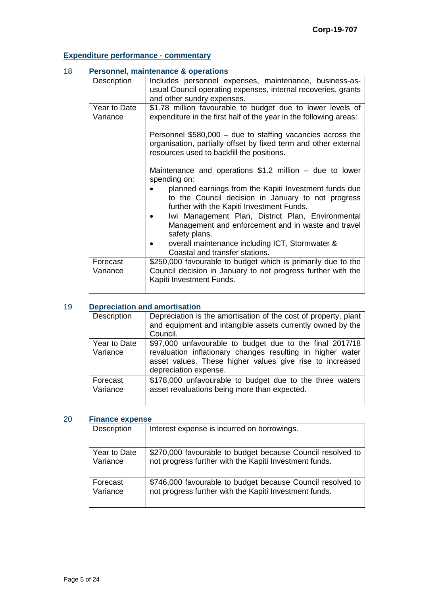# **Expenditure performance - commentary**

| 18 | <b>Personnel, maintenance &amp; operations</b> |                                                                                                                                                                                                                                                                                                                                                                                                                                                     |  |
|----|------------------------------------------------|-----------------------------------------------------------------------------------------------------------------------------------------------------------------------------------------------------------------------------------------------------------------------------------------------------------------------------------------------------------------------------------------------------------------------------------------------------|--|
|    | Description                                    | Includes personnel expenses, maintenance, business-as-<br>usual Council operating expenses, internal recoveries, grants<br>and other sundry expenses.                                                                                                                                                                                                                                                                                               |  |
|    | Year to Date<br>Variance                       | \$1.78 million favourable to budget due to lower levels of<br>expenditure in the first half of the year in the following areas:<br>Personnel $$580,000 -$ due to staffing vacancies across the<br>organisation, partially offset by fixed term and other external<br>resources used to backfill the positions.<br>Maintenance and operations $$1.2$ million – due to lower<br>spending on:<br>planned earnings from the Kapiti Investment funds due |  |
|    |                                                | to the Council decision in January to not progress<br>further with the Kapiti Investment Funds.<br>Iwi Management Plan, District Plan, Environmental<br>Management and enforcement and in waste and travel<br>safety plans.<br>overall maintenance including ICT, Stormwater &<br>Coastal and transfer stations.                                                                                                                                    |  |
|    | Forecast<br>Variance                           | \$250,000 favourable to budget which is primarily due to the<br>Council decision in January to not progress further with the<br>Kapiti Investment Funds.                                                                                                                                                                                                                                                                                            |  |

#### 19 **Depreciation and amortisation**

| Description              | Depreciation is the amortisation of the cost of property, plant<br>and equipment and intangible assets currently owned by the<br>Council.                                                                   |  |
|--------------------------|-------------------------------------------------------------------------------------------------------------------------------------------------------------------------------------------------------------|--|
| Year to Date<br>Variance | \$97,000 unfavourable to budget due to the final 2017/18<br>revaluation inflationary changes resulting in higher water<br>asset values. These higher values give rise to increased<br>depreciation expense. |  |
| Forecast<br>Variance     | \$178,000 unfavourable to budget due to the three waters<br>asset revaluations being more than expected.                                                                                                    |  |

#### 20 **Finance expense**

| Description  | Interest expense is incurred on borrowings.                |  |  |
|--------------|------------------------------------------------------------|--|--|
| Year to Date | \$270,000 favourable to budget because Council resolved to |  |  |
| Variance     | not progress further with the Kapiti Investment funds.     |  |  |
| Forecast     | \$746,000 favourable to budget because Council resolved to |  |  |
| Variance     | not progress further with the Kapiti Investment funds.     |  |  |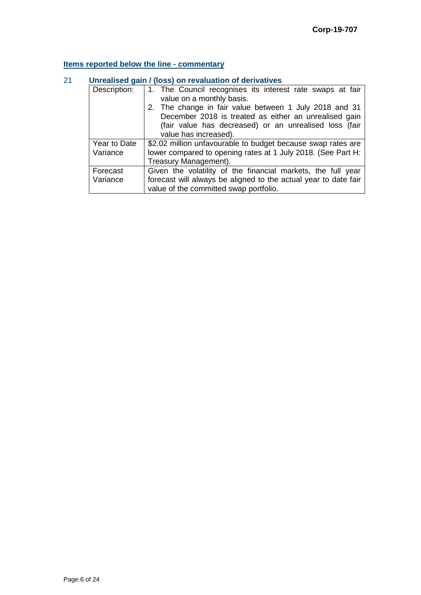### **Items reported below the line - commentary**

| Description: | 1. The Council recognises its interest rate swaps at fair       |  |  |
|--------------|-----------------------------------------------------------------|--|--|
|              | value on a monthly basis.                                       |  |  |
|              | 2. The change in fair value between 1 July 2018 and 31          |  |  |
|              | December 2018 is treated as either an unrealised gain           |  |  |
|              | (fair value has decreased) or an unrealised loss (fair          |  |  |
|              | value has increased).                                           |  |  |
| Year to Date | \$2.02 million unfavourable to budget because swap rates are    |  |  |
| Variance     | lower compared to opening rates at 1 July 2018. (See Part H:    |  |  |
|              | Treasury Management).                                           |  |  |
| Forecast     | Given the volatility of the financial markets, the full year    |  |  |
| Variance     | forecast will always be aligned to the actual year to date fair |  |  |
|              | value of the committed swap portfolio.                          |  |  |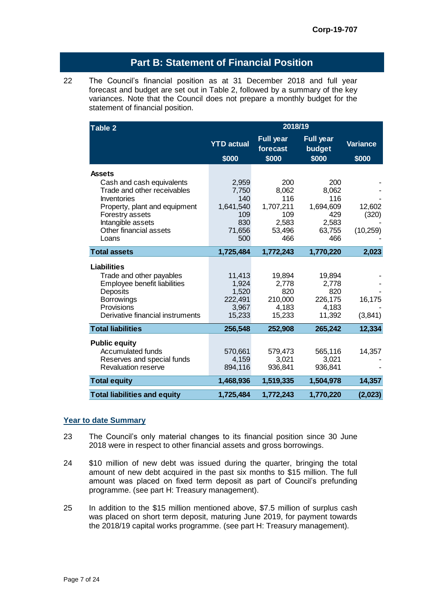### **Part B: Statement of Financial Position**

22 The Council's financial position as at 31 December 2018 and full year forecast and budget are set out in Table 2, followed by a summary of the key variances. Note that the Council does not prepare a monthly budget for the statement of financial position.

| Table 2                                                  | 2018/19           |                              |                            |                 |  |
|----------------------------------------------------------|-------------------|------------------------------|----------------------------|-----------------|--|
|                                                          | <b>YTD</b> actual | <b>Full year</b><br>forecast | <b>Full year</b><br>budget | <b>Variance</b> |  |
|                                                          | \$000             | \$000                        | \$000                      | \$000           |  |
| <b>Assets</b>                                            |                   |                              |                            |                 |  |
| Cash and cash equivalents                                | 2,959             | 200                          | 200                        |                 |  |
| Trade and other receivables                              | 7,750             | 8,062                        | 8,062                      |                 |  |
| Inventories                                              | 140               | 116                          | 116                        |                 |  |
| Property, plant and equipment                            | 1,641,540<br>109  | 1,707,211<br>109             | 1,694,609<br>429           | 12,602          |  |
| Forestry assets<br>Intangible assets                     | 830               | 2,583                        | 2,583                      | (320)           |  |
| Other financial assets                                   | 71,656            | 53,496                       | 63,755                     | (10, 259)       |  |
| Loans                                                    | 500               | 466                          | 466                        |                 |  |
| <b>Total assets</b>                                      | 1,725,484         | 1,772,243                    | 1,770,220                  | 2,023           |  |
|                                                          |                   |                              |                            |                 |  |
| <b>Liabilities</b>                                       |                   |                              |                            |                 |  |
| Trade and other payables<br>Employee benefit liabilities | 11,413<br>1,924   | 19,894<br>2,778              | 19,894<br>2,778            |                 |  |
| Deposits                                                 | 1,520             | 820                          | 820                        |                 |  |
| <b>Borrowings</b>                                        | 222,491           | 210,000                      | 226,175                    | 16,175          |  |
| Provisions                                               | 3,967             | 4,183                        | 4,183                      |                 |  |
| Derivative financial instruments                         | 15,233            | 15,233                       | 11,392                     | (3,841)         |  |
| <b>Total liabilities</b>                                 | 256,548           | 252,908                      | 265,242                    | 12,334          |  |
| <b>Public equity</b>                                     |                   |                              |                            |                 |  |
| <b>Accumulated funds</b>                                 | 570,661           | 579,473                      | 565,116                    | 14,357          |  |
| Reserves and special funds                               | 4,159             | 3,021                        | 3,021                      |                 |  |
| <b>Revaluation reserve</b>                               | 894,116           | 936,841                      | 936,841                    |                 |  |
| <b>Total equity</b>                                      | 1,468,936         | 1,519,335                    | 1,504,978                  | 14,357          |  |
| <b>Total liabilities and equity</b>                      | 1,725,484         | 1,772,243                    | 1,770,220                  | (2,023)         |  |

#### **Year to date Summary**

- 23 The Council's only material changes to its financial position since 30 June 2018 were in respect to other financial assets and gross borrowings.
- 24 \$10 million of new debt was issued during the quarter, bringing the total amount of new debt acquired in the past six months to \$15 million. The full amount was placed on fixed term deposit as part of Council's prefunding programme. (see part H: Treasury management).
- 25 In addition to the \$15 million mentioned above, \$7.5 million of surplus cash was placed on short term deposit, maturing June 2019, for payment towards the 2018/19 capital works programme. (see part H: Treasury management).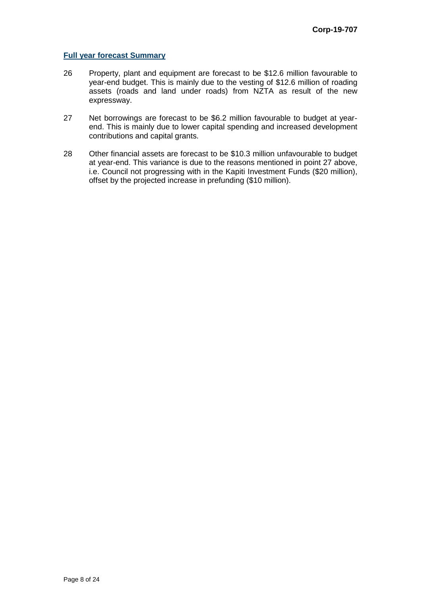#### **Full year forecast Summary**

- 26 Property, plant and equipment are forecast to be \$12.6 million favourable to year-end budget. This is mainly due to the vesting of \$12.6 million of roading assets (roads and land under roads) from NZTA as result of the new expressway.
- 27 Net borrowings are forecast to be \$6.2 million favourable to budget at yearend. This is mainly due to lower capital spending and increased development contributions and capital grants.
- 28 Other financial assets are forecast to be \$10.3 million unfavourable to budget at year-end. This variance is due to the reasons mentioned in point 27 above, i.e. Council not progressing with in the Kapiti Investment Funds (\$20 million), offset by the projected increase in prefunding (\$10 million).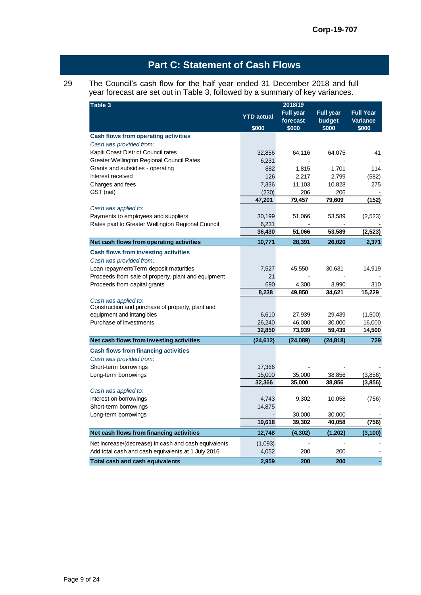# **Part C: Statement of Cash Flows**

#### 29 The Council's cash flow for the half year ended 31 December 2018 and full year forecast are set out in Table 3, followed by a summary of key variances.

| Table 3                                                                | 2018/19           |                  |                  |                  |
|------------------------------------------------------------------------|-------------------|------------------|------------------|------------------|
|                                                                        | <b>YTD</b> actual | <b>Full year</b> | <b>Full year</b> | <b>Full Year</b> |
|                                                                        |                   | forecast         | budget           | <b>Variance</b>  |
|                                                                        | \$000             | \$000            | \$000            | \$000            |
| <b>Cash flows from operating activities</b><br>Cash was provided from: |                   |                  |                  |                  |
| Kapiti Coast District Council rates                                    | 32,856            | 64,116           | 64,075           | 41               |
| Greater Wellington Regional Council Rates                              | 6,231             |                  |                  |                  |
| Grants and subsidies - operating                                       | 882               | 1,815            | 1,701            | 114              |
| Interest received                                                      | 126               | 2,217            | 2,799            | (582)            |
| Charges and fees                                                       | 7,336             | 11,103           | 10,828           | 275              |
| GST (net)                                                              | (230)             | 206              | 206              |                  |
|                                                                        | 47,201            | 79,457           | 79,609           | (152)            |
| Cash was applied to:                                                   |                   |                  |                  |                  |
| Payments to employees and suppliers                                    | 30,199            | 51,066           | 53,589           | (2,523)          |
| Rates paid to Greater Wellington Regional Council                      | 6,231             |                  |                  |                  |
|                                                                        | 36,430            | 51,066           | 53,589           | (2,523)          |
| Net cash flows from operating activities                               | 10,771            | 28,391           | 26,020           | 2,371            |
| <b>Cash flows from investing activities</b>                            |                   |                  |                  |                  |
| Cash was provided from:                                                |                   |                  |                  |                  |
| Loan repayment/Term deposit maturities                                 | 7,527             | 45,550           | 30,631           | 14,919           |
| Proceeds from sale of property, plant and equipment                    | 21                |                  |                  |                  |
| Proceeds from capital grants                                           | 690               | 4,300            | 3,990            | 310              |
|                                                                        | 8,238             | 49,850           | 34,621           | 15,229           |
| Cash was applied to:                                                   |                   |                  |                  |                  |
| Construction and purchase of property, plant and                       |                   |                  |                  |                  |
| equipment and intangibles                                              | 6,610             | 27,939           | 29,439           | (1,500)          |
| Purchase of investments                                                | 26,240            | 46,000           | 30,000           | 16,000           |
|                                                                        | 32,850            | 73,939           | 59,439           | 14,500           |
| Net cash flows from investing activities                               | (24,612)          | (24,089)         | (24,818)         | 729              |
| <b>Cash flows from financing activities</b>                            |                   |                  |                  |                  |
| Cash was provided from:                                                |                   |                  |                  |                  |
| Short-term borrowings                                                  | 17,366            |                  |                  |                  |
| Long-term borrowings                                                   | 15,000            | 35,000           | 38,856           | (3,856)          |
|                                                                        | 32,366            | 35,000           | 38,856           | (3,856)          |
| Cash was applied to:                                                   |                   |                  |                  |                  |
| Interest on borrowings                                                 | 4,743             | 9,302            | 10,058           | (756)            |
| Short-term borrowings                                                  | 14,875            |                  |                  |                  |
| Long-term borrowings                                                   |                   | 30,000           | 30,000           |                  |
|                                                                        | 19,618            | 39,302           | 40,058           | (756)            |
| Net cash flows from financing activities                               | 12,748            | (4, 302)         | (1,202)          | (3, 100)         |
| Net increase/(decrease) in cash and cash equivalents                   | (1,093)           |                  |                  |                  |
| Add total cash and cash equivalents at 1 July 2016                     | 4,052             | 200              | 200              |                  |
| <b>Total cash and cash equivalents</b>                                 | 2,959             | 200              | 200              |                  |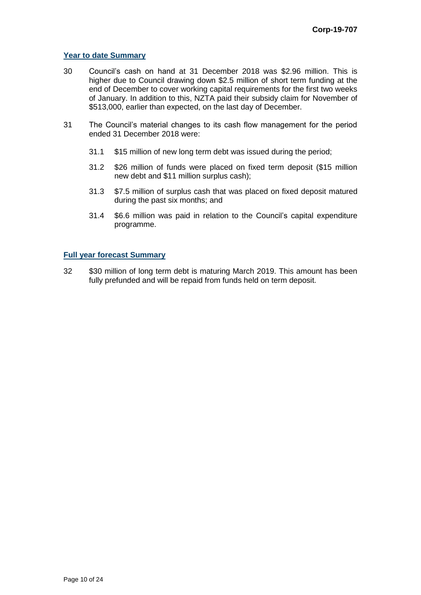#### **Year to date Summary**

- 30 Council's cash on hand at 31 December 2018 was \$2.96 million. This is higher due to Council drawing down \$2.5 million of short term funding at the end of December to cover working capital requirements for the first two weeks of January. In addition to this, NZTA paid their subsidy claim for November of \$513,000, earlier than expected, on the last day of December.
- 31 The Council's material changes to its cash flow management for the period ended 31 December 2018 were:
	- 31.1 \$15 million of new long term debt was issued during the period;
	- 31.2 \$26 million of funds were placed on fixed term deposit (\$15 million new debt and \$11 million surplus cash);
	- 31.3 \$7.5 million of surplus cash that was placed on fixed deposit matured during the past six months; and
	- 31.4 \$6.6 million was paid in relation to the Council's capital expenditure programme.

#### **Full year forecast Summary**

32 \$30 million of long term debt is maturing March 2019. This amount has been fully prefunded and will be repaid from funds held on term deposit.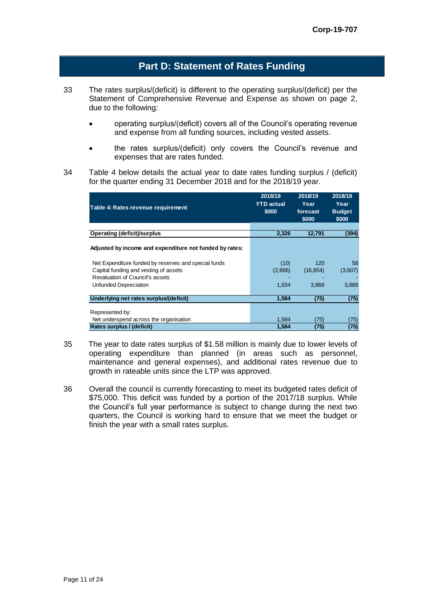### **Part D: Statement of Rates Funding**

- 33 The rates surplus/(deficit) is different to the operating surplus/(deficit) per the Statement of Comprehensive Revenue and Expense as shown on page 2, due to the following:
	- operating surplus/(deficit) covers all of the Council's operating revenue and expense from all funding sources, including vested assets.
	- the rates surplus/(deficit) only covers the Council's revenue and expenses that are rates funded.
- 34 Table 4 below details the actual year to date rates funding surplus / (deficit) for the quarter ending 31 December 2018 and for the 2018/19 year.

|                                                         | 2018/19<br><b>YTD</b> actual | 2018/19<br>Year | 2018/19<br>Year |
|---------------------------------------------------------|------------------------------|-----------------|-----------------|
| Table 4: Rates revenue requirement                      | \$000                        | forecast        | <b>Budget</b>   |
|                                                         |                              | \$000           | \$000           |
|                                                         |                              |                 |                 |
| <b>Operating (deficit)/surplus</b>                      | 2,326                        | 12,791          | (394)           |
| Adjusted by income and expenditure not funded by rates: |                              |                 |                 |
| Net Expenditure funded by reserves and special funds    | (10)                         | 120             | 58              |
| Capital funding and vesting of assets                   | (2,666)                      | (16, 854)       | (3,607)         |
| Revaluation of Council's assets                         |                              |                 |                 |
| Unfunded Depreciation                                   | 1.934                        | 3.868           | 3,868           |
| Underlying net rates surplus/(deficit)                  | 1,584                        | (75)            | (75)            |
| Represented by:                                         |                              |                 |                 |
| Net underspend across the organisation                  | 1.584                        | (75)            | (75)            |
| Rates surplus / (deficit)                               | 1.584                        | (75)            | (75)            |

- 35 The year to date rates surplus of \$1.58 million is mainly due to lower levels of operating expenditure than planned (in areas such as personnel, maintenance and general expenses), and additional rates revenue due to growth in rateable units since the LTP was approved.
- 36 Overall the council is currently forecasting to meet its budgeted rates deficit of \$75,000. This deficit was funded by a portion of the 2017/18 surplus. While the Council's full year performance is subject to change during the next two quarters, the Council is working hard to ensure that we meet the budget or finish the year with a small rates surplus.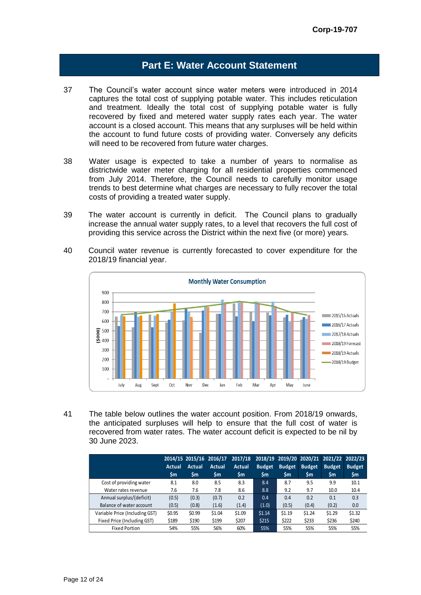### **Part E: Water Account Statement**

- 37 The Council's water account since water meters were introduced in 2014 captures the total cost of supplying potable water. This includes reticulation and treatment. Ideally the total cost of supplying potable water is fully recovered by fixed and metered water supply rates each year. The water account is a closed account. This means that any surpluses will be held within the account to fund future costs of providing water. Conversely any deficits will need to be recovered from future water charges.
- 38 Water usage is expected to take a number of years to normalise as districtwide water meter charging for all residential properties commenced from July 2014. Therefore, the Council needs to carefully monitor usage trends to best determine what charges are necessary to fully recover the total costs of providing a treated water supply.
- 39 The water account is currently in deficit. The Council plans to gradually increase the annual water supply rates, to a level that recovers the full cost of providing this service across the District within the next five (or more) years.
- 40 Council water revenue is currently forecasted to cover expenditure for the 2018/19 financial year.



41 The table below outlines the water account position. From 2018/19 onwards, the anticipated surpluses will help to ensure that the full cost of water is recovered from water rates. The water account deficit is expected to be nil by 30 June 2023.

|                                |        |               | 2014/15 2015/16 2016/17 | 2017/18       |               |               |               | 2018/19 2019/20 2020/21 2021/22 2022/23 |               |
|--------------------------------|--------|---------------|-------------------------|---------------|---------------|---------------|---------------|-----------------------------------------|---------------|
|                                | Actual | <b>Actual</b> | Actual                  | <b>Actual</b> | <b>Budget</b> | <b>Budget</b> | <b>Budget</b> | <b>Budget</b>                           | <b>Budget</b> |
|                                | \$m    | \$m           | \$m                     | <b>Sm</b>     | <b>Sm</b>     | \$m           | <b>Sm</b>     | \$m                                     | \$m           |
| Cost of providing water        | 8.1    | 8.0           | 8.5                     | 8.3           | 8.4           | 8.7           | 9.5           | 9.9                                     | 10.1          |
| Water rates revenue            | 7.6    | 7.6           | 7.8                     | 8.6           | 8.8           | 9.2           | 9.7           | 10.0                                    | 10.4          |
| Annual surplus/(deficit)       | (0.5)  | (0.3)         | (0.7)                   | 0.2           | 0.4           | 0.4           | 0.2           | 0.1                                     | 0.3           |
| Balance of water account       | (0.5)  | (0.8)         | (1.6)                   | (1.4)         | (1.0)         | (0.5)         | (0.4)         | (0.2)                                   | 0.0           |
| Variable Price (Including GST) | \$0.95 | \$0.99        | \$1.04                  | \$1.09        | \$1.14        | \$1.19        | \$1.24        | \$1.29                                  | \$1.32        |
| Fixed Price (Including GST)    | \$189  | \$190         | \$199                   | \$207         | \$215         | \$222         | \$233         | \$236                                   | \$240         |
| <b>Fixed Portion</b>           | 54%    | 55%           | 56%                     | 60%           | 55%           | 55%           | 55%           | 55%                                     | 55%           |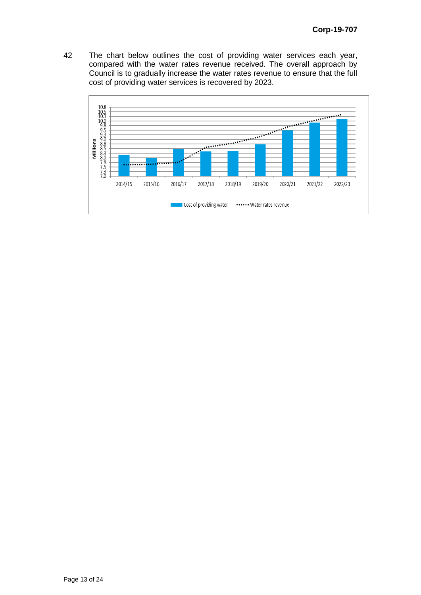42 The chart below outlines the cost of providing water services each year, compared with the water rates revenue received. The overall approach by Council is to gradually increase the water rates revenue to ensure that the full cost of providing water services is recovered by 2023.

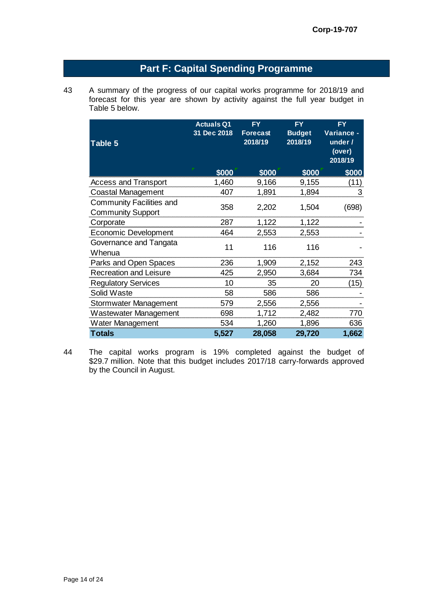# **Part F: Capital Spending Programme**

43 A summary of the progress of our capital works programme for 2018/19 and forecast for this year are shown by activity against the full year budget in Table 5 below.

| Table 5                                                     | <b>Actuals Q1</b><br>31 Dec 2018 | <b>FY</b><br><b>Forecast</b><br>2018/19 | <b>FY</b><br><b>Budget</b><br>2018/19 | <b>FY</b><br>Variance -<br>under /<br>(over)<br>2018/19 |
|-------------------------------------------------------------|----------------------------------|-----------------------------------------|---------------------------------------|---------------------------------------------------------|
|                                                             | \$000                            | \$000                                   | \$000                                 | \$000                                                   |
| <b>Access and Transport</b>                                 | 1,460                            | 9,166                                   | 9,155                                 | (11)                                                    |
| Coastal Management                                          | 407                              | 1,891                                   | 1,894                                 | 3                                                       |
| <b>Community Facilities and</b><br><b>Community Support</b> | 358                              | 2,202                                   | 1,504                                 | (698)                                                   |
| Corporate                                                   | 287                              | 1,122                                   | 1,122                                 |                                                         |
| <b>Economic Development</b>                                 | 464                              | 2,553                                   | 2,553                                 |                                                         |
| Governance and Tangata<br>Whenua                            | 11                               | 116                                     | 116                                   |                                                         |
| Parks and Open Spaces                                       | 236                              | 1,909                                   | 2,152                                 | 243                                                     |
| <b>Recreation and Leisure</b>                               | 425                              | 2,950                                   | 3,684                                 | 734                                                     |
| <b>Regulatory Services</b>                                  | 10                               | 35                                      | 20                                    | (15)                                                    |
| Solid Waste                                                 | 58                               | 586                                     | 586                                   |                                                         |
| Stormwater Management                                       | 579                              | 2,556                                   | 2,556                                 |                                                         |
| Wastewater Management                                       | 698                              | 1,712                                   | 2,482                                 | 770                                                     |
| Water Management                                            | 534                              | 1,260                                   | 1,896                                 | 636                                                     |
| <b>Totals</b>                                               | 5,527                            | 28,058                                  | 29,720                                | 1,662                                                   |

44 The capital works program is 19% completed against the budget of \$29.7 million. Note that this budget includes 2017/18 carry-forwards approved by the Council in August.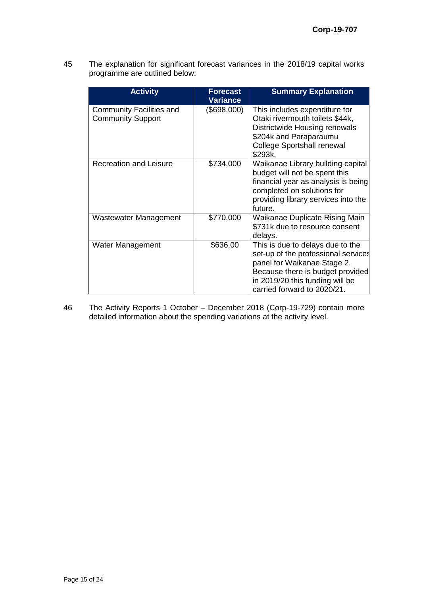45 The explanation for significant forecast variances in the 2018/19 capital works programme are outlined below:

| <b>Activity</b>                                      | <b>Forecast</b><br><b>Variance</b> | <b>Summary Explanation</b>                                                                                                                                                                                   |
|------------------------------------------------------|------------------------------------|--------------------------------------------------------------------------------------------------------------------------------------------------------------------------------------------------------------|
| Community Facilities and<br><b>Community Support</b> | (\$698,000)                        | This includes expenditure for<br>Otaki rivermouth toilets \$44k,<br>Districtwide Housing renewals<br>\$204k and Paraparaumu<br><b>College Sportshall renewal</b><br>\$293k.                                  |
| <b>Recreation and Leisure</b>                        | \$734,000                          | Waikanae Library building capital<br>budget will not be spent this<br>financial year as analysis is being<br>completed on solutions for<br>providing library services into the<br>future.                    |
| Wastewater Management                                | \$770,000                          | Waikanae Duplicate Rising Main<br>\$731k due to resource consent<br>delays.                                                                                                                                  |
| Water Management                                     | \$636,00                           | This is due to delays due to the<br>set-up of the professional services<br>panel for Waikanae Stage 2.<br>Because there is budget provided<br>in 2019/20 this funding will be<br>carried forward to 2020/21. |

46 The Activity Reports 1 October – December 2018 (Corp-19-729) contain more detailed information about the spending variations at the activity level.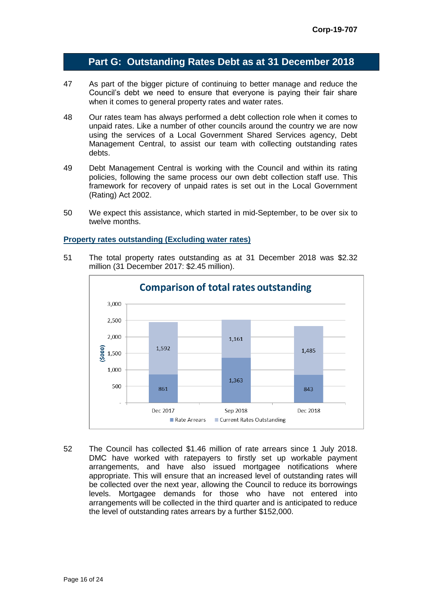### **Part G: Outstanding Rates Debt as at 31 December 2018**

- 47 As part of the bigger picture of continuing to better manage and reduce the Council's debt we need to ensure that everyone is paying their fair share when it comes to general property rates and water rates.
- 48 Our rates team has always performed a debt collection role when it comes to unpaid rates. Like a number of other councils around the country we are now using the services of a Local Government Shared Services agency, Debt Management Central, to assist our team with collecting outstanding rates debts.
- 49 Debt Management Central is working with the Council and within its rating policies, following the same process our own debt collection staff use. This framework for recovery of unpaid rates is set out in the Local Government (Rating) Act 2002.
- 50 We expect this assistance, which started in mid-September, to be over six to twelve months.

#### **Property rates outstanding (Excluding water rates)**

51 The total property rates outstanding as at 31 December 2018 was \$2.32 million (31 December 2017: \$2.45 million).



52 The Council has collected \$1.46 million of rate arrears since 1 July 2018. DMC have worked with ratepayers to firstly set up workable payment arrangements, and have also issued mortgagee notifications where appropriate. This will ensure that an increased level of outstanding rates will be collected over the next year, allowing the Council to reduce its borrowings levels. Mortgagee demands for those who have not entered into arrangements will be collected in the third quarter and is anticipated to reduce the level of outstanding rates arrears by a further \$152,000.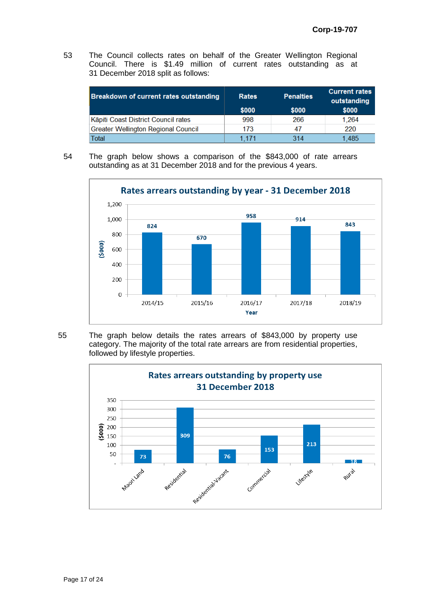53 The Council collects rates on behalf of the Greater Wellington Regional Council. There is \$1.49 million of current rates outstanding as at 31 December 2018 split as follows:

| <b>Breakdown of current rates outstanding</b> | <b>Rates</b><br>\$000 | <b>Penalties</b><br>\$000 | <b>Current rates</b><br>outstanding<br>\$000 |
|-----------------------------------------------|-----------------------|---------------------------|----------------------------------------------|
| Kāpiti Coast District Council rates           | 998                   | 266                       | 1.264                                        |
| <b>Greater Wellington Regional Council</b>    | 173                   | 47                        | 220                                          |
| Total                                         | 1 171                 | 314                       | ⊟485                                         |

54 The graph below shows a comparison of the \$843,000 of rate arrears outstanding as at 31 December 2018 and for the previous 4 years.



55 The graph below details the rates arrears of \$843,000 by property use category. The majority of the total rate arrears are from residential properties, followed by lifestyle properties.

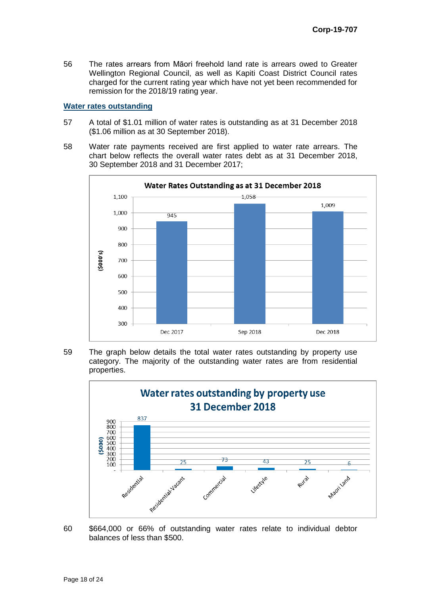56 The rates arrears from Māori freehold land rate is arrears owed to Greater Wellington Regional Council, as well as Kapiti Coast District Council rates charged for the current rating year which have not yet been recommended for remission for the 2018/19 rating year.

#### **Water rates outstanding**

- 57 A total of \$1.01 million of water rates is outstanding as at 31 December 2018 (\$1.06 million as at 30 September 2018).
- 58 Water rate payments received are first applied to water rate arrears. The chart below reflects the overall water rates debt as at 31 December 2018, 30 September 2018 and 31 December 2017;



59 The graph below details the total water rates outstanding by property use category. The majority of the outstanding water rates are from residential properties.



60 \$664,000 or 66% of outstanding water rates relate to individual debtor balances of less than \$500.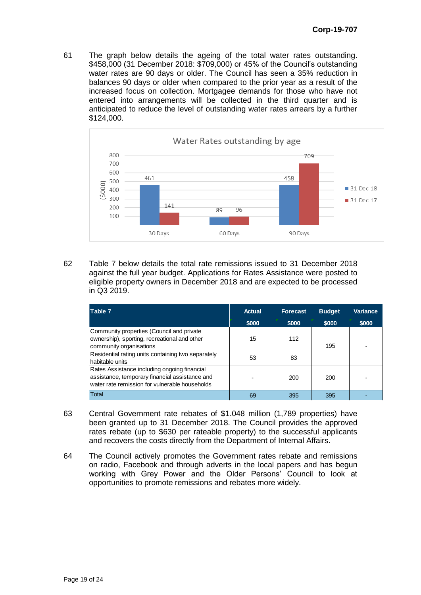61 The graph below details the ageing of the total water rates outstanding. \$458,000 (31 December 2018: \$709,000) or 45% of the Council's outstanding water rates are 90 days or older. The Council has seen a 35% reduction in balances 90 days or older when compared to the prior year as a result of the increased focus on collection. Mortgagee demands for those who have not entered into arrangements will be collected in the third quarter and is anticipated to reduce the level of outstanding water rates arrears by a further \$124,000.



62 Table 7 below details the total rate remissions issued to 31 December 2018 against the full year budget. Applications for Rates Assistance were posted to eligible property owners in December 2018 and are expected to be processed in Q3 2019.

| Table 7                                                                                                                                          | Actual | <b>Forecast</b> | <b>Budget</b> | Variance |
|--------------------------------------------------------------------------------------------------------------------------------------------------|--------|-----------------|---------------|----------|
|                                                                                                                                                  | \$000  | \$000           | \$000         | \$000    |
| Community properties (Council and private<br>ownership), sporting, recreational and other<br>community organisations                             | 15     | 112             | 195           |          |
| Residential rating units containing two separately<br>habitable units                                                                            | 53     | 83              |               |          |
| Rates Assistance including ongoing financial<br>assistance, temporary financial assistance and<br>water rate remission for vulnerable households |        | 200             | 200           |          |
| Total                                                                                                                                            | 69     | 395             | 395           |          |

- 63 Central Government rate rebates of \$1.048 million (1,789 properties) have been granted up to 31 December 2018. The Council provides the approved rates rebate (up to \$630 per rateable property) to the successful applicants and recovers the costs directly from the Department of Internal Affairs.
- 64 The Council actively promotes the Government rates rebate and remissions on radio, Facebook and through adverts in the local papers and has begun working with Grey Power and the Older Persons' Council to look at opportunities to promote remissions and rebates more widely.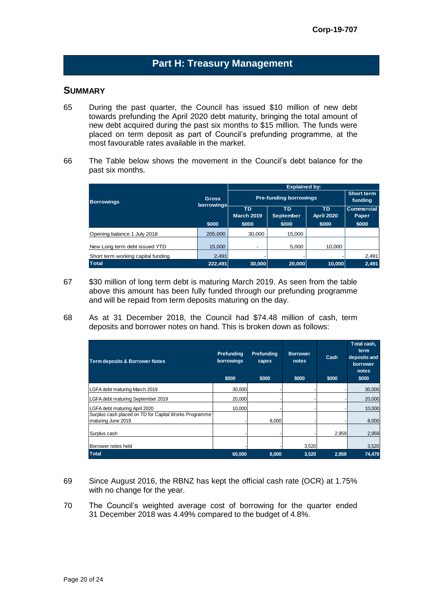## **Part H: Treasury Management**

### **SUMMARY**

- 65 During the past quarter, the Council has issued \$10 million of new debt towards prefunding the April 2020 debt maturity, bringing the total amount of new debt acquired during the past six months to \$15 million. The funds were placed on term deposit as part of Council's prefunding programme, at the most favourable rates available in the market.
- 66 The Table below shows the movement in the Council's debt balance for the past six months.

|                                    |                                                                  | <b>Explained by:</b>          |                       |                            |       |  |
|------------------------------------|------------------------------------------------------------------|-------------------------------|-----------------------|----------------------------|-------|--|
| <b>Borrowings</b>                  | <b>Gross</b><br>borrowings                                       | <b>Pre-funding borrowings</b> | Short term<br>funding |                            |       |  |
|                                    | <b>TD</b><br>TD.<br>TD.<br><b>March 2019</b><br><b>September</b> |                               | <b>April 2020</b>     | <b>Commercial</b><br>Paper |       |  |
|                                    | \$000                                                            | \$000                         | \$000                 | \$000                      | \$000 |  |
| Opening balance 1 July 2018        | 205,000                                                          | 30.000                        | 15,000                |                            |       |  |
| New Long term debt issued YTD      | 15,000                                                           | -                             | 5,000                 | 10.000                     |       |  |
| Short term working capital funding | 2,491                                                            |                               |                       |                            | 2,491 |  |
| <b>Total</b>                       | 222,491                                                          | 30,000                        | 20,000                | 10,000                     | 2,491 |  |

- 67 \$30 million of long term debt is maturing March 2019. As seen from the table above this amount has been fully funded through our prefunding programme and will be repaid from term deposits maturing on the day.
- 68 As at 31 December 2018, the Council had \$74.48 million of cash, term deposits and borrower notes on hand. This is broken down as follows:

| <b>Term deposits &amp; Borrower Notes</b>                                   | Prefunding<br>borrowings<br>\$000 | <b>Prefunding</b><br>capex<br>\$000 | <b>Borrower</b><br>notes<br>\$000 | Cash<br>\$000 | Total cash,<br>term<br>deposits and<br>borrower<br>notes<br>\$000 |
|-----------------------------------------------------------------------------|-----------------------------------|-------------------------------------|-----------------------------------|---------------|-------------------------------------------------------------------|
| LGFA debt maturing March 2019                                               | 30,000                            |                                     |                                   |               | 30,000                                                            |
| LGFA debt maturing September 2019                                           | 20,000                            |                                     |                                   |               | 20,000                                                            |
| LGFA debt maturing April 2020                                               | 10,000                            |                                     |                                   |               | 10,000                                                            |
| Surplus cash placed on TD for Capital Works Programme<br>maturing June 2019 |                                   | 8.000                               |                                   |               | 8,000                                                             |
| Surplus cash                                                                |                                   |                                     |                                   | 2,959         | 2,959                                                             |
| Borrower notes held                                                         |                                   |                                     | 3,520                             |               | 3,520                                                             |
| <b>Total</b>                                                                | 60,000                            | 8,000                               | 3,520                             | 2,959         | 74,479                                                            |

- 69 Since August 2016, the RBNZ has kept the official cash rate (OCR) at 1.75% with no change for the year.
- 70 The Council's weighted average cost of borrowing for the quarter ended 31 December 2018 was 4.49% compared to the budget of 4.8%.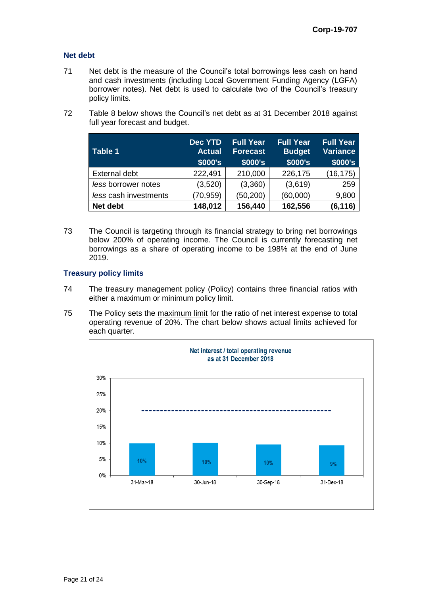#### **Net debt**

- 71 Net debt is the measure of the Council's total borrowings less cash on hand and cash investments (including Local Government Funding Agency (LGFA) borrower notes). Net debt is used to calculate two of the Council's treasury policy limits.
- 72 Table 8 below shows the Council's net debt as at 31 December 2018 against full year forecast and budget.

| Table 1               | Dec YTD<br><b>Actual</b><br>\$000's | <b>Full Year</b><br><b>Forecast</b><br>\$000's | <b>Full Year</b><br><b>Budget</b><br>\$000's | <b>Full Year</b><br><b>Variance</b><br>\$000's |
|-----------------------|-------------------------------------|------------------------------------------------|----------------------------------------------|------------------------------------------------|
| <b>External debt</b>  | 222,491                             | 210,000                                        | 226,175                                      | (16, 175)                                      |
| less borrower notes   | (3,520)                             | (3,360)                                        | (3,619)                                      | 259                                            |
| less cash investments | (70, 959)                           | (50, 200)                                      | (60,000)                                     | 9,800                                          |
| Net debt              | 148,012                             | 156,440                                        | 162,556                                      | (6, 116)                                       |

73 The Council is targeting through its financial strategy to bring net borrowings below 200% of operating income. The Council is currently forecasting net borrowings as a share of operating income to be 198% at the end of June 2019.

#### **Treasury policy limits**

- 74 The treasury management policy (Policy) contains three financial ratios with either a maximum or minimum policy limit.
- 75 The Policy sets the maximum limit for the ratio of net interest expense to total operating revenue of 20%. The chart below shows actual limits achieved for each quarter.

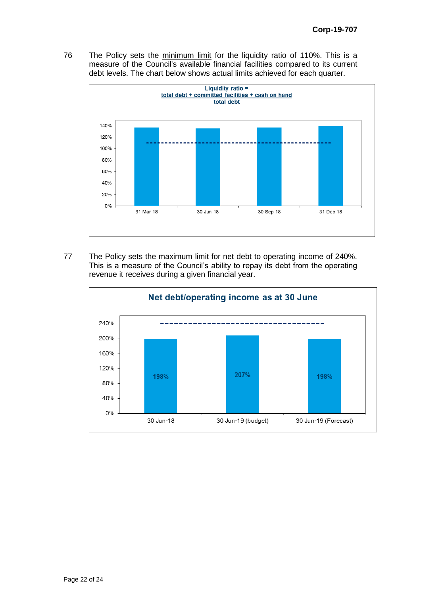76 The Policy sets the minimum limit for the liquidity ratio of 110%. This is a measure of the Council's available financial facilities compared to its current debt levels. The chart below shows actual limits achieved for each quarter.



77 The Policy sets the maximum limit for net debt to operating income of 240%. This is a measure of the Council's ability to repay its debt from the operating revenue it receives during a given financial year.

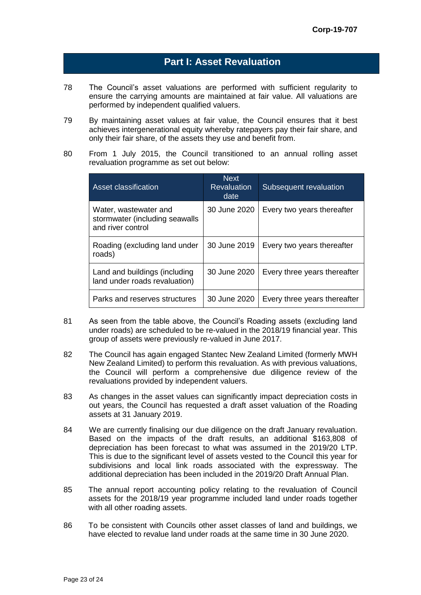### **Part I: Asset Revaluation**

- 78 The Council's asset valuations are performed with sufficient regularity to ensure the carrying amounts are maintained at fair value. All valuations are performed by independent qualified valuers.
- 79 By maintaining asset values at fair value, the Council ensures that it best achieves intergenerational equity whereby ratepayers pay their fair share, and only their fair share, of the assets they use and benefit from.
- 80 From 1 July 2015, the Council transitioned to an annual rolling asset revaluation programme as set out below:

| Asset classification                                                         | <b>Next</b><br><b>Revaluation</b><br>date | Subsequent revaluation       |
|------------------------------------------------------------------------------|-------------------------------------------|------------------------------|
| Water, wastewater and<br>stormwater (including seawalls<br>and river control | 30 June 2020                              | Every two years thereafter   |
| Roading (excluding land under<br>roads)                                      | 30 June 2019                              | Every two years thereafter   |
| Land and buildings (including<br>land under roads revaluation)               | 30 June 2020                              | Every three years thereafter |
| Parks and reserves structures                                                | 30 June 2020                              | Every three years thereafter |

- 81 As seen from the table above, the Council's Roading assets (excluding land under roads) are scheduled to be re-valued in the 2018/19 financial year. This group of assets were previously re-valued in June 2017.
- 82 The Council has again engaged Stantec New Zealand Limited (formerly MWH New Zealand Limited) to perform this revaluation. As with previous valuations, the Council will perform a comprehensive due diligence review of the revaluations provided by independent valuers.
- 83 As changes in the asset values can significantly impact depreciation costs in out years, the Council has requested a draft asset valuation of the Roading assets at 31 January 2019.
- 84 We are currently finalising our due diligence on the draft January revaluation. Based on the impacts of the draft results, an additional \$163,808 of depreciation has been forecast to what was assumed in the 2019/20 LTP. This is due to the significant level of assets vested to the Council this year for subdivisions and local link roads associated with the expressway. The additional depreciation has been included in the 2019/20 Draft Annual Plan.
- 85 The annual report accounting policy relating to the revaluation of Council assets for the 2018/19 year programme included land under roads together with all other roading assets.
- 86 To be consistent with Councils other asset classes of land and buildings, we have elected to revalue land under roads at the same time in 30 June 2020.